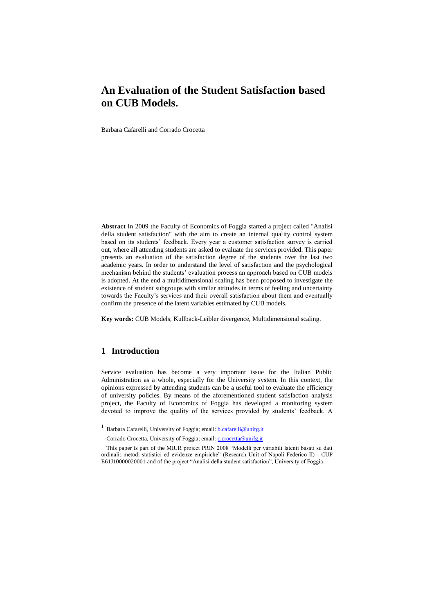# **An Evaluation of the Student Satisfaction based on CUB Models.**

Barbara Cafarelli and Corrado Crocetta

**Abstract** In 2009 the Faculty of Economics of Foggia started a project called "Analisi della student satisfaction" with the aim to create an internal quality control system based on its students' feedback. Every year a customer satisfaction survey is carried out, where all attending students are asked to evaluate the services provided. This paper presents an evaluation of the satisfaction degree of the students over the last two academic years. In order to understand the level of satisfaction and the psychological mechanism behind the students' evaluation process an approach based on CUB models is adopted. At the end a multidimensional scaling has been proposed to investigate the existence of student subgroups with similar attitudes in terms of feeling and uncertainty towards the Faculty's services and their overall satisfaction about them and eventually confirm the presence of the latent variables estimated by CUB models.

**Key words:** CUB Models, Kullback-Leibler divergence, Multidimensional scaling.

## **1 Introduction**

 $\overline{\phantom{a}}$ 

Service evaluation has become a very important issue for the Italian Public Administration as a whole, especially for the University system. In this context, the opinions expressed by attending students can be a useful tool to evaluate the efficiency of university policies. By means of the aforementioned student satisfaction analysis project, the Faculty of Economics of Foggia has developed a monitoring system devoted to improve the quality of the services provided by students' feedback. A

<sup>1</sup> Barbara Cafarelli, University of Foggia; email: **b.cafarelli@unifg.it** 

Corrado Crocetta, University of Foggia; email[: c.crocetta@unifg.it](mailto:c.crocetta@unifg.it)

This paper is part of the MIUR project PRIN 2008 "Modelli per variabili latenti basati su dati ordinali: metodi statistici ed evidenze empiriche" (Research Unit of Napoli Federico II) - CUP E61J10000020001 and of the project "Analisi della student satisfaction", University of Foggia.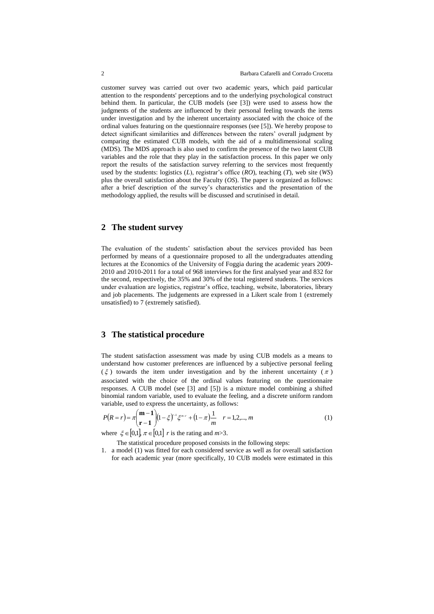customer survey was carried out over two academic years, which paid particular attention to the respondents' perceptions and to the underlying psychological construct behind them. In particular, the CUB models (see [3]) were used to assess how the judgments of the students are influenced by their personal feeling towards the items under investigation and by the inherent uncertainty associated with the choice of the ordinal values featuring on the questionnaire responses (see [5]). We hereby propose to detect significant similarities and differences between the raters' overall judgment by comparing the estimated CUB models, with the aid of a multidimensional scaling (MDS). The MDS approach is also used to confirm the presence of the two latent CUB variables and the role that they play in the satisfaction process. In this paper we only report the results of the satisfaction survey referring to the services most frequently used by the students: logistics (*L*), registrar's office (*RO*), teaching (*T*), web site (*WS*) plus the overall satisfaction about the Faculty (*OS*). The paper is organized as follows: after a brief description of the survey's characteristics and the presentation of the methodology applied, the results will be discussed and scrutinised in detail.

## **2 The student survey**

The evaluation of the students' satisfaction about the services provided has been performed by means of a questionnaire proposed to all the undergraduates attending lectures at the Economics of the University of Foggia during the academic years 2009- 2010 and 2010-2011 for a total of 968 interviews for the first analysed year and 832 for the second, respectively, the 35% and 30% of the total registered students. The services under evaluation are logistics, registrar's office, teaching, website, laboratories, library and job placements. The judgements are expressed in a Likert scale from 1 (extremely unsatisfied) to 7 (extremely satisfied).

#### **3 The statistical procedure**

The student satisfaction assessment was made by using CUB models as a means to understand how customer preferences are influenced by a subjective personal feeling  $(\xi)$  towards the item under investigation and by the inherent uncertainty  $(\pi)$ associated with the choice of the ordinal values featuring on the questionnaire responses. A CUB model (see [3] and [5]) is a mixture model combining a shifted binomial random variable, used to evaluate the feeling, and a discrete uniform random variable, used to express the uncertainty, as follows:

$$
P(R=r) = \pi \binom{m-1}{r-1} (1-\xi)^{-1} \xi^{m-r} + (1-\pi) \frac{1}{m} \quad r = 1, 2, ..., m \tag{1}
$$

where  $\xi \in [0,1]$ ,  $\pi \in [0,1]$  *r* is the rating and *m*>3.

The statistical procedure proposed consists in the following steps:

1. a model (1) was fitted for each considered service as well as for overall satisfaction for each academic year (more specifically, 10 CUB models were estimated in this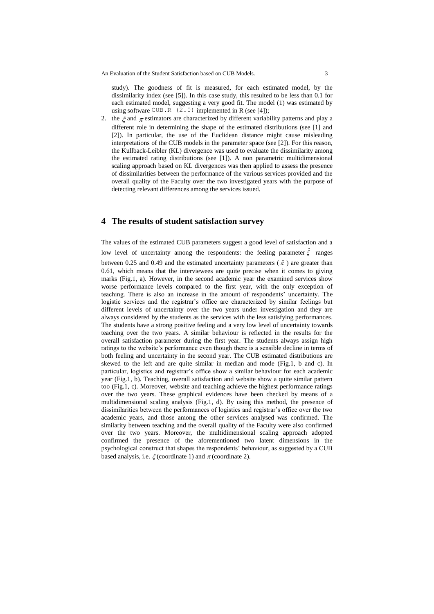An Evaluation of the Student Satisfaction based on CUB Models.  $\frac{3}{2}$ 

study). The goodness of fit is measured, for each estimated model, by the dissimilarity index (see [5]). In this case study, this resulted to be less than 0.1 for each estimated model, suggesting a very good fit. The model (1) was estimated by using software CUB.R  $(2.0)$  implemented in R (see [4]);

2. the  $\zeta$  and  $\pi$  estimators are characterized by different variability patterns and play a different role in determining the shape of the estimated distributions (see [1] and [2]). In particular, the use of the Euclidean distance might cause misleading interpretations of the CUB models in the parameter space (see [2]). For this reason, the Kullback-Leibler (KL) divergence was used to evaluate the dissimilarity among the estimated rating distributions (see [1]). A non parametric multidimensional scaling approach based on KL divergences was then applied to assess the presence of dissimilarities between the performance of the various services provided and the overall quality of the Faculty over the two investigated years with the purpose of detecting relevant differences among the services issued.

## **4 The results of student satisfaction survey**

The values of the estimated CUB parameters suggest a good level of satisfaction and a low level of uncertainty among the respondents: the feeling parameter  $\hat{\xi}$  ranges between 0.25 and 0.49 and the estimated uncertainty parameters ( $\hat{\pi}$ ) are greater than 0.61, which means that the interviewees are quite precise when it comes to giving marks (Fig.1, a). However, in the second academic year the examined services show worse performance levels compared to the first year, with the only exception of teaching. There is also an increase in the amount of respondents' uncertainty. The logistic services and the registrar's office are characterized by similar feelings but different levels of uncertainty over the two years under investigation and they are always considered by the students as the services with the less satisfying performances. The students have a strong positive feeling and a very low level of uncertainty towards teaching over the two years. A similar behaviour is reflected in the results for the overall satisfaction parameter during the first year. The students always assign high ratings to the website's performance even though there is a sensible decline in terms of both feeling and uncertainty in the second year. The CUB estimated distributions are skewed to the left and are quite similar in median and mode (Fig.1, b and c). In particular, logistics and registrar's office show a similar behaviour for each academic year (Fig.1, b). Teaching, overall satisfaction and website show a quite similar pattern too (Fig.1, c). Moreover, website and teaching achieve the highest performance ratings over the two years. These graphical evidences have been checked by means of a multidimensional scaling analysis (Fig.1, d). By using this method, the presence of dissimilarities between the performances of logistics and registrar's office over the two academic years, and those among the other services analysed was confirmed. The similarity between teaching and the overall quality of the Faculty were also confirmed over the two years. Moreover, the multidimensional scaling approach adopted confirmed the presence of the aforementioned two latent dimensions in the psychological construct that shapes the respondents' behaviour, as suggested by a CUB based analysis, i.e.  $\xi$  (coordinate 1) and  $\pi$  (coordinate 2).